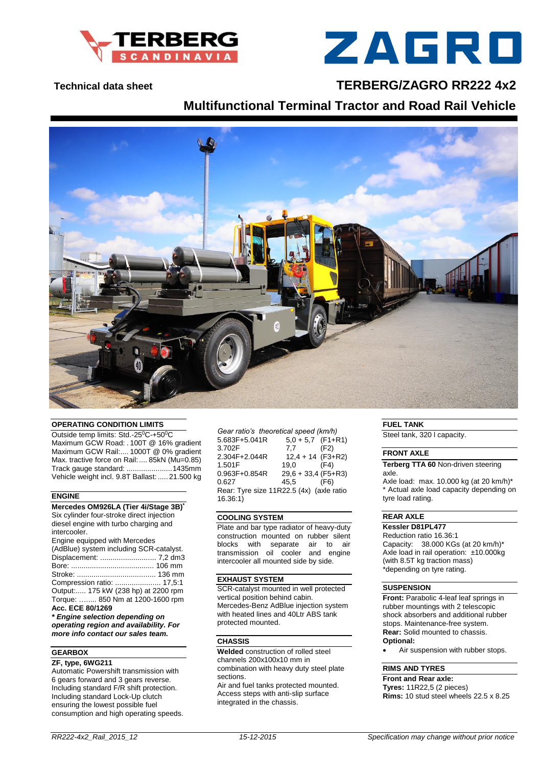



# **Technical data sheet TERBERG/ZAGRO RR222 4x2**

# **Multifunctional Terminal Tractor and Road Rail Vehicle**



#### **OPERATING CONDITION LIMITS**

Outside temp limits: Std.-25<sup>0</sup>C-+50<sup>0</sup>C Maximum GCW Road: . 100T @ 16% gradient Maximum GCW Rail:.... 1000T @ 0% gradient Max. tractive force on Rail:.... 85kN (Mu=0.85) Track gauge standard: ......................1435mm Vehicle weight incl. 9.8T Ballast:..... 21.500 kg

#### **ENGINE**

#### **Mercedes OM926LA (Tier 4i/Stage 3B) \***

Six cylinder four-stroke direct injection diesel engine with turbo charging and intercooler.

| Engine equipped with Mercedes           |
|-----------------------------------------|
| (AdBlue) system including SCR-catalyst. |
|                                         |
|                                         |
|                                         |
|                                         |
| Output: 175 kW (238 hp) at 2200 rpm     |
| Torque:  850 Nm at 1200-1600 rpm        |
| Acc. ECE 80/1269                        |

*\* Engine selection depending on operating region and availability. For more info contact our sales team.*

### **GEARBOX**

### **ZF, type, 6WG211**

Automatic Powershift transmission with 6 gears forward and 3 gears reverse. Including standard F/R shift protection. Including standard Lock-Up clutch ensuring the lowest possible fuel consumption and high operating speeds. *Gear ratio's theoretical speed (km/h)*  $5.683F+5.041R$   $5.0+5.7$  (F1+<br>3.702F  $7.7$  (F2) 3.702F 2.304F+2.044R 12,4 + 14 (F3+R2)<br>1.501F 19.0 (F4) 1.501F<br>0.963F+0.854R  $29,6 + 33,4$  (F5+R3) 0.627 45,5 (F6) Rear: Tyre size 11R22.5 (4x) (axle ratio 16.36:1)

#### **COOLING SYSTEM**

Plate and bar type radiator of heavy-duty construction mounted on rubber silent blocks with separate air to air transmission oil cooler and engine intercooler all mounted side by side.

#### **EXHAUST SYSTEM**

SCR-catalyst mounted in well protected vertical position behind cabin. Mercedes-Benz AdBlue injection system with heated lines and 40Ltr ABS tank protected mounted.

#### **CHASSIS**

**Welded** construction of rolled steel channels 200x100x10 mm in combination with heavy duty steel plate sections.

Air and fuel tanks protected mounted. Access steps with anti-slip surface integrated in the chassis.

**FUEL TANK**

Steel tank, 320 l capacity.

#### **FRONT AXLE**

**Terberg TTA 60** Non-driven steering axle.

Axle load: max. 10.000 kg (at 20 km/h)\* \* Actual axle load capacity depending on tyre load rating.

## **REAR AXLE**

## **Kessler D81PL477**

Reduction ratio 16.36:1 Capacity: 38.000 KGs (at 20 km/h)\* Axle load in rail operation: ±10.000kg (with 8.5T kg traction mass) \*depending on tyre rating.

#### **SUSPENSION**

**Front:** Parabolic 4-leaf leaf springs in rubber mountings with 2 telescopic shock absorbers and additional rubber stops. Maintenance-free system. **Rear:** Solid mounted to chassis. **Optional:**

Air suspension with rubber stops.

#### **RIMS AND TYRES**

**Front and Rear axle: Tyres:** 11R22,5 (2 pieces) **Rims:** 10 stud steel wheels 22.5 x 8.25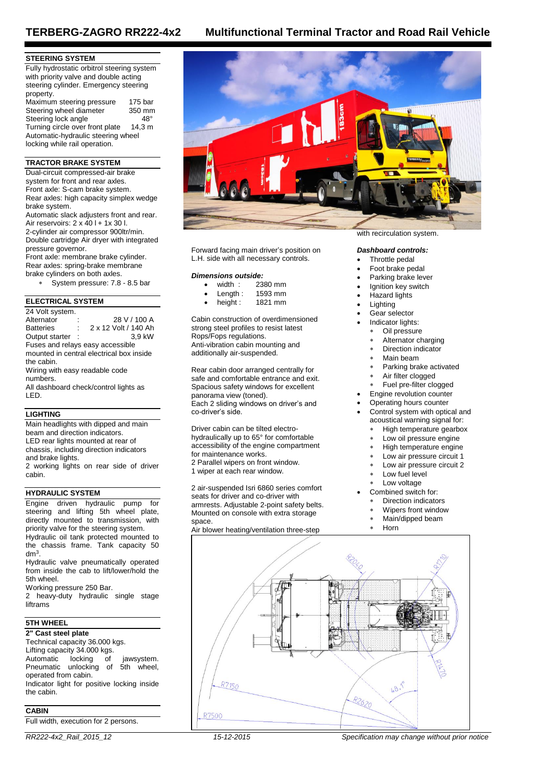#### **STEERING SYSTEM**

Fully hydrostatic orbitrol steering system with priority valve and double acting steering cylinder. Emergency steering property. Maximum steering pressure 175 bar<br>Steering wheel diameter 350 mm Steering wheel diameter Steering lock angle 48°<br>Turning circle over front plate 14,3 m Turning circle over front plate Automatic-hydraulic steering wheel locking while rail operation.

#### **TRACTOR BRAKE SYSTEM**

Dual-circuit compressed-air brake system for front and rear axles. Front axle: S-cam brake system. Rear axles: high capacity simplex wedge brake system.

Automatic slack adjusters front and rear. Air reservoirs:  $2 \times 40$  l + 1x 30 l. 2-cylinder air compressor 900ltr/min. Double cartridge Air dryer with integrated pressure governor.

Front axle: membrane brake cylinder. Rear axles: spring-brake membrane brake cylinders on both axles.

System pressure: 7.8 - 8.5 bar

#### **ELECTRICAL SYSTEM**

24 Volt system.<br>Alternator Alternator : 28 V / 100 A<br>Batteries : 2 x 12 Volt / 140 Ah 2 x 12 Volt / 140 Ah<br>3,9 kW Output starter : Fuses and relays easy accessible mounted in central electrical box inside the cabin. Wiring with easy readable code numbers. All dashboard check/control lights as LED.

#### **LIGHTING**

Main headlights with dipped and main beam and direction indicators. LED rear lights mounted at rear of chassis, including direction indicators and brake lights.

2 working lights on rear side of driver cabin.

#### **HYDRAULIC SYSTEM**

Engine driven hydraulic pump for steering and lifting 5th wheel plate, directly mounted to transmission, with priority valve for the steering system. Hydraulic oil tank protected mounted to the chassis frame. Tank capacity 50

dm<sup>3</sup> . Hydraulic valve pneumatically operated from inside the cab to lift/lower/hold the

5th wheel. Working pressure 250 Bar.

2 heavy-duty hydraulic single stage liftrams

## **5TH WHEEL**

**2" Cast steel plate** Technical capacity 36.000 kgs. Lifting capacity 34.000 kgs. Automatic locking of jawsystem.<br>Pneumatic unlocking of 5th wheel, Pneumatic unlocking of operated from cabin. Indicator light for positive locking inside the cabin.

#### **CABIN**

Full width, execution for 2 persons.







Forward facing main driver's position on L.H. side with all necessary controls.

# *Dimensions outside:*

- width : 2380 mm<br>Length : 1593 mm
- 1593 mm<br>1821 mm
- height  $:$

Cabin construction of overdimensioned strong steel profiles to resist latest Rops/Fops regulations. Anti-vibration cabin mounting and additionally air-suspended.

Rear cabin door arranged centrally for safe and comfortable entrance and exit. Spacious safety windows for excellent panorama view (toned). Each 2 sliding windows on driver's and co-driver's side.

Driver cabin can be tilted electrohydraulically up to 65° for comfortable accessibility of the engine compartment for maintenance works. 2 Parallel wipers on front window. 1 wiper at each rear window.

2 air-suspended Isri 6860 series comfort seats for driver and co-driver with armrests. Adjustable 2-point safety belts. Mounted on console with extra storage space.

Air blower heating/ventilation three-step

#### with recirculation system.

#### *Dashboard controls:*

- Throttle pedal
- Foot brake pedal
- Parking brake lever
- Ignition key switch
- Hazard lights
- Lighting
- Gear selector
	- Indicator lights:
	- Oil pressure
		- Alternator charging
		- Direction indicator
	- Main beam
	- Parking brake activated
	- Air filter clogged
- Fuel pre-filter clogged
- Engine revolution counter
- Operating hours counter
- Control system with optical and acoustical warning signal for:
	- High temperature gearbox
	- Low oil pressure engine
	- High temperature engine
	- Low air pressure circuit 1
	- Low air pressure circuit 2
	- Low fuel level
	- Low voltage
- Combined switch for:
	- Direction indicators
	- Wipers front window
	- Main/dipped beam
	- Horn

d 48.7 R2620

*RR222-4x2\_Rail\_2015\_12 15-12-2015 Specification may change without prior notice*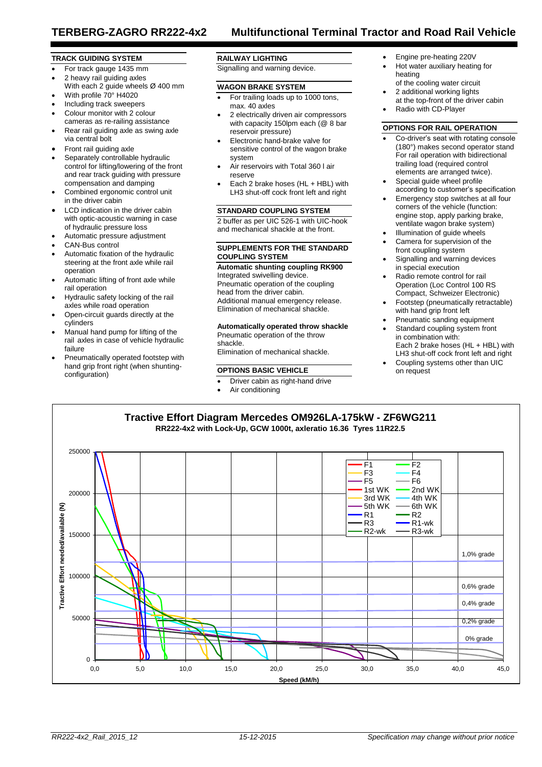#### **TRACK GUIDING SYSTEM**

- For track gauge 1435 mm
- 2 heavy rail guiding axles With each 2 guide wheels Ø 400 mm
- With profile 70° H4020
- Including track sweepers
- Colour monitor with 2 colour cameras as re-railing assistance
- Rear rail guiding axle as swing axle via central bolt
- Front rail guiding axle
- Separately controllable hydraulic control for lifting/lowering of the front and rear track guiding with pressure compensation and damping
- Combined ergonomic control unit in the driver cabin
- LCD indication in the driver cabin with optic-acoustic warning in case of hydraulic pressure loss
- Automatic pressure adjustment
- CAN-Bus control
- Automatic fixation of the hydraulic steering at the front axle while rail operation
- Automatic lifting of front axle while rail operation
- Hydraulic safety locking of the rail axles while road operation
- Open-circuit guards directly at the cylinders
- Manual hand pump for lifting of the rail axles in case of vehicle hydraulic failure
- Pneumatically operated footstep with hand grip front right (when shuntingconfiguration)

#### **RAILWAY LIGHTING**

Signalling and warning device.

#### **WAGON BRAKE SYSTEM**

- For trailing loads up to 1000 tons, max. 40 axles
- 2 electrically driven air compressors with capacity 150lpm each (@ 8 bar reservoir pressure)
- Electronic hand-brake valve for sensitive control of the wagon brake system
- Air reservoirs with Total 360 l air reserve
- Each 2 brake hoses (HL + HBL) with LH3 shut-off cock front left and right

#### **STANDARD COUPLING SYSTEM**

2 buffer as per UIC 526-1 with UIC-hook and mechanical shackle at the front.

#### **SUPPLEMENTS FOR THE STANDARD COUPLING SYSTEM**

**Automatic shunting coupling RK900** Integrated swivelling device. Pneumatic operation of the coupling head from the driver cabin. Additional manual emergency release. Elimination of mechanical shackle.

Elimination of mechanical shackle.

#### **OPTIONS BASIC VEHICLE**

- Driver cabin as right-hand drive
	- Air conditioning
- Engine pre-heating 220V
- Hot water auxiliary heating for heating of the cooling water circuit
- 2 additional working lights
- at the top-front of the driver cabin Radio with CD-Player

#### **OPTIONS FOR RAIL OPERATION**

- Co-driver's seat with rotating console (180°) makes second operator stand For rail operation with bidirectional trailing load (required control elements are arranged twice).
- Special guide wheel profile according to customer's specification
- Emergency stop switches at all four corners of the vehicle (function: engine stop, apply parking brake, ventilate wagon brake system) Illumination of guide wheels
- Camera for supervision of the front coupling system
- Signalling and warning devices in special execution
- Radio remote control for rail Operation (Loc Control 100 RS Compact, Schweizer Electronic)
- Footstep (pneumatically retractable) with hand grip front left
- Pneumatic sanding equipment
- Standard coupling system front in combination with: Each 2 brake hoses (HL + HBL) with LH3 shut-off cock front left and right
- Coupling systems other than UIC on request



**Automatically operated throw shackle** Pneumatic operation of the throw shackle.